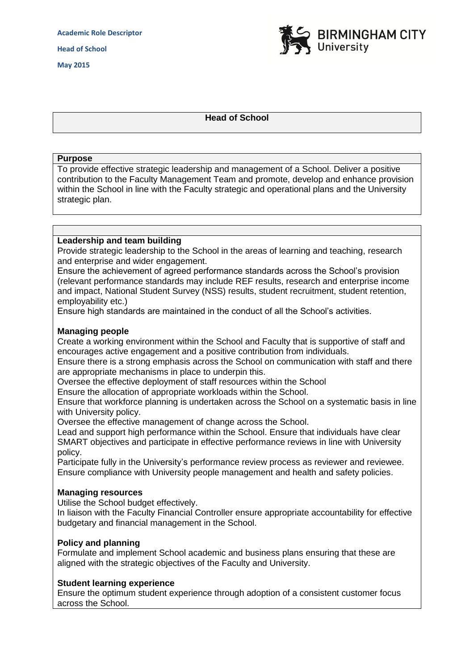

# **Head of School**

#### **Purpose**

To provide effective strategic leadership and management of a School. Deliver a positive contribution to the Faculty Management Team and promote, develop and enhance provision within the School in line with the Faculty strategic and operational plans and the University strategic plan.

## **Leadership and team building**

Provide strategic leadership to the School in the areas of learning and teaching, research and enterprise and wider engagement.

Ensure the achievement of agreed performance standards across the School's provision (relevant performance standards may include REF results, research and enterprise income and impact, National Student Survey (NSS) results, student recruitment, student retention, employability etc.)

Ensure high standards are maintained in the conduct of all the School's activities.

## **Managing people**

Create a working environment within the School and Faculty that is supportive of staff and encourages active engagement and a positive contribution from individuals.

Ensure there is a strong emphasis across the School on communication with staff and there are appropriate mechanisms in place to underpin this.

Oversee the effective deployment of staff resources within the School

Ensure the allocation of appropriate workloads within the School.

Ensure that workforce planning is undertaken across the School on a systematic basis in line with University policy.

Oversee the effective management of change across the School.

Lead and support high performance within the School. Ensure that individuals have clear SMART objectives and participate in effective performance reviews in line with University policy.

Participate fully in the University's performance review process as reviewer and reviewee. Ensure compliance with University people management and health and safety policies.

#### **Managing resources**

Utilise the School budget effectively.

In liaison with the Faculty Financial Controller ensure appropriate accountability for effective budgetary and financial management in the School.

#### **Policy and planning**

Formulate and implement School academic and business plans ensuring that these are aligned with the strategic objectives of the Faculty and University.

#### **Student learning experience**

Ensure the optimum student experience through adoption of a consistent customer focus across the School.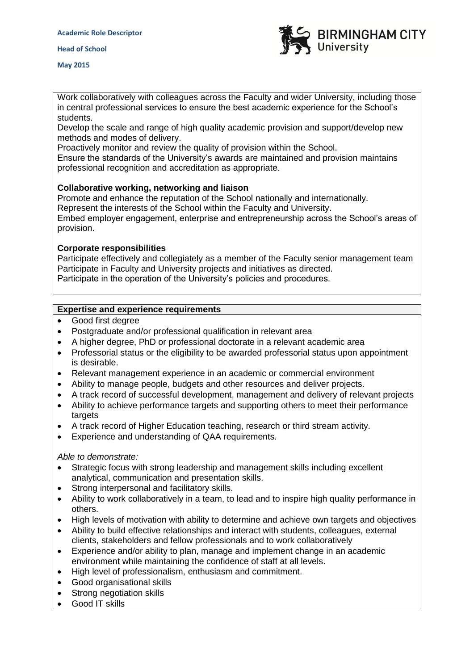

**May 2015**

Work collaboratively with colleagues across the Faculty and wider University, including those in central professional services to ensure the best academic experience for the School's students.

Develop the scale and range of high quality academic provision and support/develop new methods and modes of delivery.

Proactively monitor and review the quality of provision within the School.

Ensure the standards of the University's awards are maintained and provision maintains professional recognition and accreditation as appropriate.

# **Collaborative working, networking and liaison**

Promote and enhance the reputation of the School nationally and internationally. Represent the interests of the School within the Faculty and University. Embed employer engagement, enterprise and entrepreneurship across the School's areas of provision.

## **Corporate responsibilities**

Participate effectively and collegiately as a member of the Faculty senior management team Participate in Faculty and University projects and initiatives as directed. Participate in the operation of the University's policies and procedures.

# **Expertise and experience requirements**

- Good first degree
- Postgraduate and/or professional qualification in relevant area
- A higher degree, PhD or professional doctorate in a relevant academic area
- Professorial status or the eligibility to be awarded professorial status upon appointment is desirable.
- Relevant management experience in an academic or commercial environment
- Ability to manage people, budgets and other resources and deliver projects.
- A track record of successful development, management and delivery of relevant projects
- Ability to achieve performance targets and supporting others to meet their performance targets
- A track record of Higher Education teaching, research or third stream activity.
- Experience and understanding of QAA requirements.

*Able to demonstrate:*

- Strategic focus with strong leadership and management skills including excellent analytical, communication and presentation skills.
- Strong interpersonal and facilitatory skills.
- Ability to work collaboratively in a team, to lead and to inspire high quality performance in others.
- High levels of motivation with ability to determine and achieve own targets and objectives
- Ability to build effective relationships and interact with students, colleagues, external clients, stakeholders and fellow professionals and to work collaboratively
- Experience and/or ability to plan, manage and implement change in an academic environment while maintaining the confidence of staff at all levels.
- High level of professionalism, enthusiasm and commitment.
- Good organisational skills
- Strong negotiation skills
- Good IT skills